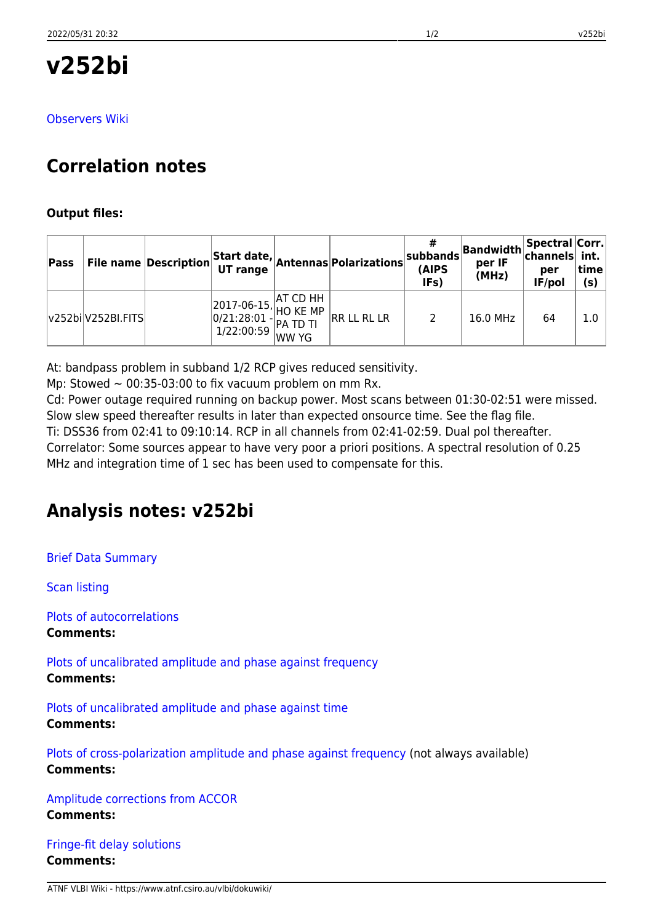[Observers Wiki](http://www.atnf.csiro.au/vlbi/dokuwiki/doku.php/lbaops/lbaJun2017/v252bi)

# **Correlation notes**

### **Output files:**

| Pass |                    | <b>File name Description</b> |                                                                                                                                                                                                                                                                                                          | Start date, Antennas Polarizations | #<br>$ $ subbands $ $<br>(AIPS<br>IFs) | <b>Bandwidth Spectral Corr.</b><br>per IF<br>(MHz) | $\,$ channels $\,$ int.<br>per<br>IF/pol | time<br>(s) |
|------|--------------------|------------------------------|----------------------------------------------------------------------------------------------------------------------------------------------------------------------------------------------------------------------------------------------------------------------------------------------------------|------------------------------------|----------------------------------------|----------------------------------------------------|------------------------------------------|-------------|
|      | v252bi V252BI.FITS |                              | $\begin{array}{ l l } \hline 2017-06-15, \begin{matrix} \text{AT CD HH} \\ \text{HO KE MP} \\ 0/21:28:01 \\ 1/22:00:59 \end{matrix} \hline \begin{matrix} \text{AT CD TH} \\ \text{PA TD TI} \\ \text{WW YG} \end{matrix} \hline \begin{matrix} \text{H} \\ \text{I} \\ \end{matrix} \hline \end{array}$ | RR LL RL LR                        | 2                                      | 16.0 MHz                                           | 64                                       | 1.0         |

At: bandpass problem in subband 1/2 RCP gives reduced sensitivity.

Mp: Stowed  $\sim$  00:35-03:00 to fix vacuum problem on mm Rx.

Cd: Power outage required running on backup power. Most scans between 01:30-02:51 were missed. Slow slew speed thereafter results in later than expected onsource time. See the flag file. Ti: DSS36 from 02:41 to 09:10:14. RCP in all channels from 02:41-02:59. Dual pol thereafter. Correlator: Some sources appear to have very poor a priori positions. A spectral resolution of 0.25 MHz and integration time of 1 sec has been used to compensate for this.

## **Analysis notes: v252bi**

[Brief Data Summary](ftp://ftp.atnf.csiro.au/pub/people/vlbi/pipeline/v252bi/v252bi.DTSUM)

[Scan listing](ftp://ftp.atnf.csiro.au/pub/people/vlbi/pipeline/v252bi/v252bi.SCAN)

[Plots of autocorrelations](ftp://ftp.atnf.csiro.au/pub/people/vlbi/pipeline/v252bi/v252bi_POSSM_AUTOCORR.pdf) **Comments:**

[Plots of uncalibrated amplitude and phase against frequency](ftp://ftp.atnf.csiro.au/pub/people/vlbi/pipeline/v252bi/v252bi_POSSM_UNCAL.pdf) **Comments:**

[Plots of uncalibrated amplitude and phase against time](ftp://ftp.atnf.csiro.au/pub/people/vlbi/pipeline/v252bi/v252bi_VPLOT_UNCAL.pdf) **Comments:**

[Plots of cross-polarization amplitude and phase against frequency](ftp://ftp.atnf.csiro.au/pub/people/vlbi/pipeline/v252bi/v252bi_POSSM_CPOL.pdf) (not always available) **Comments:**

[Amplitude corrections from ACCOR](ftp://ftp.atnf.csiro.au/pub/people/vlbi/pipeline/v252bi/v252bi_ACCOR.pdf) **Comments:**

[Fringe-fit delay solutions](ftp://ftp.atnf.csiro.au/pub/people/vlbi/pipeline/v252bi/v252bi_FRING_DELAY.pdf) **Comments:**